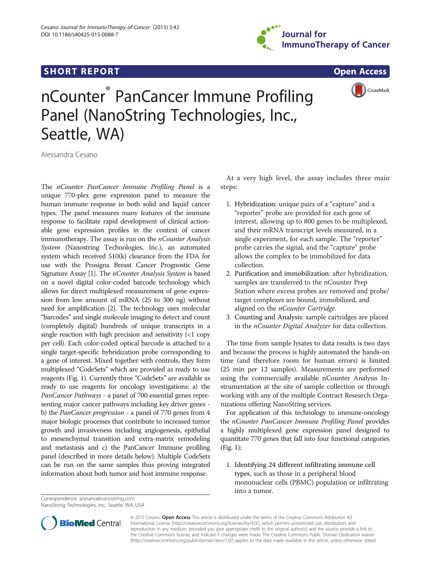



# nCounter® PanCancer Immune Profiling Panel (NanoString Technologies, Inc., Seattle, WA)

Alessandra Cesano

The nCounter PanCancer Immune Profiling Panel is a unique 770-plex gene expression panel to measure the human immune response in both solid and liquid cancer types. The panel measures many features of the immune response to facilitate rapid development of clinical actionable gene expression profiles in the context of cancer immunotherapy. The assay is run on the  $nCounter$  Analysis System (Nanostring Technologies, Inc.), an automated system which received 510(k) clearance from the FDA for use with the Prosigna Breast Cancer Prognostic Gene Signature Assay [[1](#page-2-0)]. The *nCounter Analysis System* is based on a novel digital color-coded barcode technology which allows for direct multiplexed measurement of gene expression from low amount of mRNA (25 to 300 ng) without need for amplification [[2](#page-2-0)]. The technology uses molecular "barcodes" and single molecule imaging to detect and count (completely digital) hundreds of unique transcripts in a single reaction with high precision and sensitivity (<1 copy per cell). Each color-coded optical barcode is attached to a single target-specific hybridization probe corresponding to a gene of interest. Mixed together with controls, they form multiplexed "CodeSets" which are provided as ready to use reagents (Fig. [1\)](#page-1-0). Currently three "CodeSets" are available as ready to use reagents for oncology investigations: a) the PanCancer Pathways - a panel of 700 essential genes representing major cancer pathways including key driver genes b) the PanCancer progression - a panel of 770 genes from 4 major biologic processes that contribute to increased tumor growth and invasiveness including angiogenesis, epithelial to mesenchymal transition and extra-matrix remodeling and metastasis and c) the PanCancer Immune profiling panel (described in more details below). Multiple CodeSets can be run on the same samples thus proving integrated information about both tumor and host immune response.

Correspondence: [acesano@nanostring.com](mailto:acesano@nanostring.com) NanoString Technologies, Inc., Seattle, WA, USA

At a very high level, the assay includes three main steps:

- 1. Hybridization: unique pairs of a "capture" and a "reporter" probe are provided for each gene of interest, allowing up to 800 genes to be multiplexed, and their mRNA transcript levels measured, in a single experiment, for each sample. The "reporter" probe carries the signal, and the "capture" probe allows the complex to be immobilized for data collection.
- 2. Purification and immobilization: after hybridization, samples are transferred to the nCounter Prep Station where excess probes are removed and probe/ target complexes are bound, immobilized, and aligned on the *nCounter Cartridge*.
- 3. Counting and Analysis: sample cartridges are placed in the nCounter Digital Analyzer for data collection.

The time from sample lysates to data results is two days and because the process is highly automated the hands-on time (and therefore room for human errors) is limited (25 min per 12 samples). Measurements are performed using the commercially available nCounter Analysis Instrumentation at the site of sample collection or through working with any of the multiple Contract Research Organizations offering NanoString services.

For application of this technology to immune-oncology the nCounter PanCancer Immune Profiling Panel provides a highly multiplexed gene expression panel designed to quantitate 770 genes that fall into four functional categories (Fig. [1\)](#page-1-0):

1. Identifying 24 different infiltrating immune cell types, such as those in a peripheral blood mononuclear cells (PBMC) population or infiltrating into a tumor.



© 2015 Cesano. Open Access This article is distributed under the terms of the Creative Commons Attribution 4.0 International License [\(http://creativecommons.org/licenses/by/4.0/](http://creativecommons.org/licenses/by/4.0/)), which permits unrestricted use, distribution, and reproduction in any medium, provided you give appropriate credit to the original author(s) and the source, provide a link to the Creative Commons license, and indicate if changes were made. The Creative Commons Public Domain Dedication waiver [\(http://creativecommons.org/publicdomain/zero/1.0/](http://creativecommons.org/publicdomain/zero/1.0/)) applies to the data made available in this article, unless otherwise stated.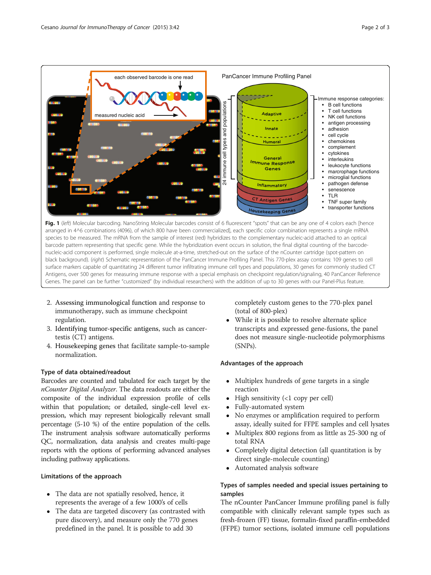<span id="page-1-0"></span>

- 2. Assessing immunological function and response to immunotherapy, such as immune checkpoint regulation.
- 3. Identifying tumor-specific antigens, such as cancertestis (CT) antigens.
- 4. Housekeeping genes that facilitate sample-to-sample normalization.

### Type of data obtained/readout

Barcodes are counted and tabulated for each target by the nCounter Digital Analyzer. The data readouts are either the composite of the individual expression profile of cells within that population; or detailed, single-cell level expression, which may represent biologically relevant small percentage (5-10 %) of the entire population of the cells. The instrument analysis software automatically performs QC, normalization, data analysis and creates multi-page reports with the options of performing advanced analyses including pathway applications.

## Limitations of the approach

- The data are not spatially resolved, hence, it represents the average of a few 1000's of cells
- The data are targeted discovery (as contrasted with pure discovery), and measure only the 770 genes predefined in the panel. It is possible to add 30

completely custom genes to the 770-plex panel (total of 800-plex)

 While it is possible to resolve alternate splice transcripts and expressed gene-fusions, the panel does not measure single-nucleotide polymorphisms (SNPs).

# Advantages of the approach

- Multiplex hundreds of gene targets in a single reaction
- $\bullet$  High sensitivity (<1 copy per cell)
- Fully-automated system
- No enzymes or amplification required to perform assay, ideally suited for FFPE samples and cell lysates
- Multiplex 800 regions from as little as 25-300 ng of total RNA
- Completely digital detection (all quantitation is by direct single-molecule counting)
- Automated analysis software

# Types of samples needed and special issues pertaining to samples

The nCounter PanCancer Immune profiling panel is fully compatible with clinically relevant sample types such as fresh-frozen (FF) tissue, formalin-fixed paraffin-embedded (FFPE) tumor sections, isolated immune cell populations